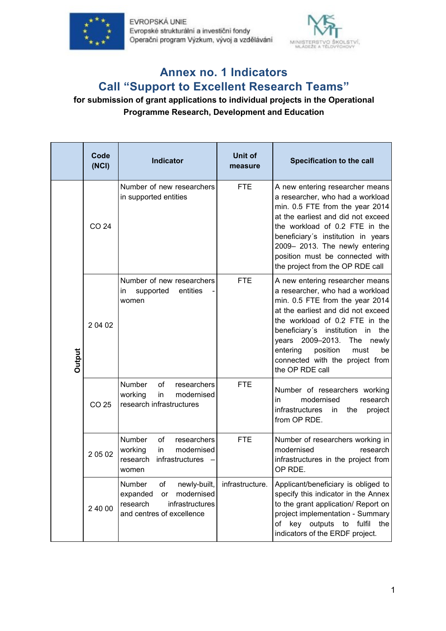



## **Annex no. 1 Indicators Call "Support to Excellent Research Teams"**

## **for submission of grant applications to individual projects in the Operational Programme Research, Development and Education**

|               | Code<br>(NCI) | Indicator                                                                                                                | Unit of<br>measure | Specification to the call                                                                                                                                                                                                                                                                                                                                |
|---------------|---------------|--------------------------------------------------------------------------------------------------------------------------|--------------------|----------------------------------------------------------------------------------------------------------------------------------------------------------------------------------------------------------------------------------------------------------------------------------------------------------------------------------------------------------|
| <b>Dutput</b> | CO 24         | Number of new researchers<br>in supported entities                                                                       | <b>FTE</b>         | A new entering researcher means<br>a researcher, who had a workload<br>min. 0.5 FTE from the year 2014<br>at the earliest and did not exceed<br>the workload of 0.2 FTE in the<br>beneficiary's institution in years<br>2009-2013. The newly entering<br>position must be connected with<br>the project from the OP RDE call                             |
|               | 2 04 02       | Number of new researchers<br>supported<br>entities<br>in<br>women                                                        | <b>FTE</b>         | A new entering researcher means<br>a researcher, who had a workload<br>min. 0.5 FTE from the year 2014<br>at the earliest and did not exceed<br>the workload of 0.2 FTE in the<br>beneficiary's institution<br>in<br>the<br>years 2009-2013.<br>The<br>newly<br>position<br>entering<br>must<br>be<br>connected with the project from<br>the OP RDE call |
|               | CO 25         | Number<br>of<br>researchers<br>working<br>in<br>modernised<br>research infrastructures                                   | <b>FTE</b>         | Number of researchers working<br>modernised<br>in<br>research<br>infrastructures in<br>the<br>project<br>from OP RDE.                                                                                                                                                                                                                                    |
|               | 20502         | Number<br>researchers<br>οf<br>modernised<br>working<br>in.<br>infrastructures<br>research<br>women                      | <b>FTE</b>         | Number of researchers working in<br>modernised<br>research<br>infrastructures in the project from<br>OP RDE.                                                                                                                                                                                                                                             |
|               | 2 40 00       | Number<br>Οf<br>newly-built,<br>modernised<br>expanded<br>or<br>research<br>infrastructures<br>and centres of excellence | infrastructure.    | Applicant/beneficiary is obliged to<br>specify this indicator in the Annex<br>to the grant application/ Report on<br>project implementation - Summary<br>of key outputs to fulfil<br>the<br>indicators of the ERDF project.                                                                                                                              |